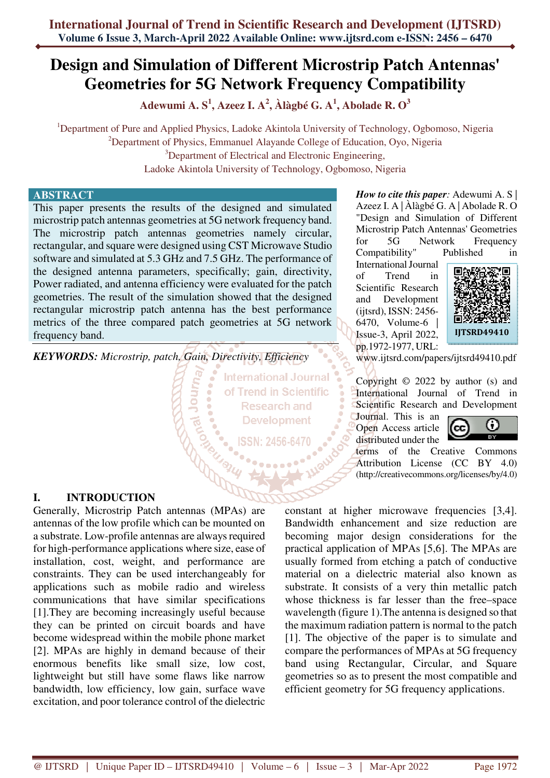# **Design and Simulation of Different Microstrip Patch Antennas' Geometries for 5G Network Frequency Compatibility**

**Adewumi A. S<sup>1</sup> , Azeez I. A<sup>2</sup> , Àlàgbé G. A<sup>1</sup> , Abolade R. O<sup>3</sup>**

<sup>1</sup>Department of Pure and Applied Physics, Ladoke Akintola University of Technology, Ogbomoso, Nigeria <sup>2</sup>Department of Physics, Emmanuel Alayande College of Education, Oyo, Nigeria <sup>3</sup>Department of Electrical and Electronic Engineering, Ladoke Akintola University of Technology, Ogbomoso, Nigeria

## **ABSTRACT**

This paper presents the results of the designed and simulated microstrip patch antennas geometries at 5G network frequency band. The microstrip patch antennas geometries namely circular, rectangular, and square were designed using CST Microwave Studio software and simulated at 5.3 GHz and 7.5 GHz. The performance of the designed antenna parameters, specifically; gain, directivity, Power radiated, and antenna efficiency were evaluated for the patch geometries. The result of the simulation showed that the designed rectangular microstrip patch antenna has the best performance metrics of the three compared patch geometries at 5G network frequency band.

*KEYWORDS: Microstrip, patch, Gain, Directivity, Efficiency* 

Comparison

**International Journal** of Trend in Scientific **Research and Development** 

**I. INTRODUCTION** 

Generally, Microstrip Patch antennas (MPAs) are antennas of the low profile which can be mounted on a substrate. Low-profile antennas are always required for high-performance applications where size, ease of installation, cost, weight, and performance are constraints. They can be used interchangeably for applications such as mobile radio and wireless communications that have similar specifications [1].They are becoming increasingly useful because they can be printed on circuit boards and have become widespread within the mobile phone market [2]. MPAs are highly in demand because of their enormous benefits like small size, low cost, lightweight but still have some flaws like narrow bandwidth, low efficiency, low gain, surface wave excitation, and poor tolerance control of the dielectric

*How to cite this paper:* Adewumi A. S | Azeez I. A | Àlàgbé G. A | Abolade R. O "Design and Simulation of Different Microstrip Patch Antennas' Geometries for 5G Network Frequency Compatibility" Published in

International Journal of Trend in Scientific Research and Development (ijtsrd), ISSN: 2456- 6470, Volume-6 | Issue-3, April 2022, pp.1972-1977, URL:



www.ijtsrd.com/papers/ijtsrd49410.pdf

Copyright © 2022 by author (s) and International Journal of Trend in Scientific Research and Development

Journal. This is an Open Access article distributed under the



terms of the Creative Commons Attribution License (CC BY 4.0) (http://creativecommons.org/licenses/by/4.0)

constant at higher microwave frequencies [3,4]. Bandwidth enhancement and size reduction are becoming major design considerations for the practical application of MPAs [5,6]. The MPAs are usually formed from etching a patch of conductive material on a dielectric material also known as substrate. It consists of a very thin metallic patch whose thickness is far lesser than the free–space wavelength (figure 1).The antenna is designed so that the maximum radiation pattern is normal to the patch [1]. The objective of the paper is to simulate and compare the performances of MPAs at 5G frequency band using Rectangular, Circular, and Square geometries so as to present the most compatible and efficient geometry for 5G frequency applications.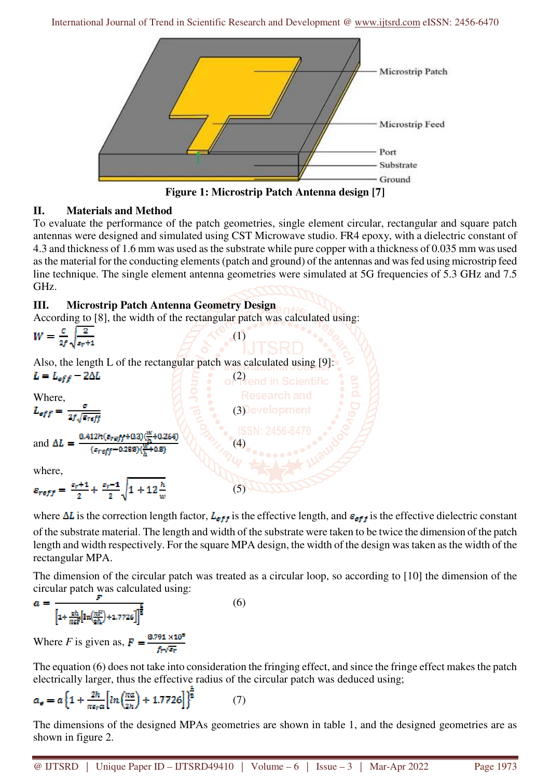

**Figure 1: Microstrip Patch Antenna design [7]** 

# **II. Materials and Method**

To evaluate the performance of the patch geometries, single element circular, rectangular and square patch antennas were designed and simulated using CST Microwave studio. FR4 epoxy, with a dielectric constant of 4.3 and thickness of 1.6 mm was used as the substrate while pure copper with a thickness of 0.035 mm was used as the material for the conducting elements (patch and ground) of the antennas and was fed using microstrip feed line technique. The single element antenna geometries were simulated at 5G frequencies of 5.3 GHz and 7.5 GHz.

# **III. Microstrip Patch Antenna Geometry Design**

According to [8], the width of the rectangular patch was calculated using:

 $(5)$ 

$$
W = \frac{c}{2f} \sqrt{\frac{2}{\epsilon_r + 1}}
$$
 (1)

Also, the length L of the rectangular patch was calculated using [9]:  $L = L_{eff} - 2\Delta L$   $\qquad \qquad$   $\qquad \qquad$   $\qquad \qquad$   $\qquad \qquad$   $\qquad \qquad$   $\qquad \qquad$   $\qquad \qquad$   $\qquad \qquad$   $\qquad \qquad$   $\qquad \qquad$   $\qquad \qquad$   $\qquad \qquad$   $\qquad \qquad$   $\qquad \qquad$   $\qquad \qquad$   $\qquad \qquad$   $\qquad \qquad$   $\qquad \qquad$   $\qquad \qquad$   $\qquad \qquad$   $\qquad \qquad$   $\qquad$   $\qquad \qquad$   $\$ 

Where,

$$
L_{eff} = \frac{C}{2f\sqrt{\epsilon_{refj}}}
$$
 (3)  
0.412h( $\epsilon_{reff}$ +0.3)( $\frac{W}{2}$ +0.264)

ÎВ.

and 
$$
\Delta L = \frac{1}{\frac{(s_{reff}-0.258)(\frac{W}{h}+0.8)}{(s_{reff}-0.258)(\frac{W}{h}+0.8)}} \tag{4}
$$

where,

$$
\varepsilon_{reff} = \frac{s_r + 1}{2} + \frac{s_r - 1}{2} \sqrt{1 + 12 \frac{h}{w}}
$$

where  $\Delta L$  is the correction length factor,  $L_{eff}$  is the effective length, and  $\varepsilon_{eff}$  is the effective dielectric constant of the substrate material. The length and width of the substrate were taken to be twice the dimension of the patch length and width respectively. For the square MPA design, the width of the design was taken as the width of the rectangular MPA.

The dimension of the circular patch was treated as a circular loop, so according to [10] the dimension of the circular patch was calculated using:

$$
a = \frac{1}{\left[1 + \frac{2h}{\pi \varepsilon F} \left[ \ln \left( \frac{\pi F}{2h} \right) + 1.772 \varepsilon \right] \right]^{\frac{1}{2}}}
$$
(6)

Where *F* is given as,  $\mathbf{F} = \frac{8.791 \times 10^9}{f_{\text{av}}/\sqrt{g_{\text{av}}}}$ 

The equation (6) does not take into consideration the fringing effect, and since the fringe effect makes the patch electrically larger, thus the effective radius of the circular patch was deduced using;

$$
a_{\sigma} = a \left\{ 1 + \frac{2h}{n\epsilon_{\text{ref}}} \left[ ln \left( \frac{n a}{2h} \right) + 1.7726 \right] \right\}^{\frac{1}{2}}
$$
(7)

The dimensions of the designed MPAs geometries are shown in table 1, and the designed geometries are as shown in figure 2.

@ IJTSRD | Unique Paper ID – IJTSRD49410 | Volume – 6 | Issue – 3 | Mar-Apr 2022 Page 1973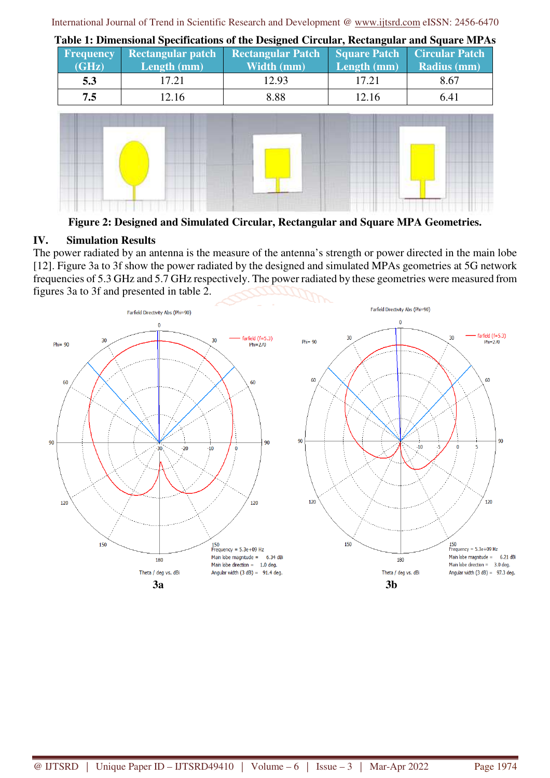| <b>Frequency</b><br>(GHz) | <b>Rectangular patch</b><br>Length $(mm)$ | <b>Rectangular Patch</b><br>Width (mm) | Length (mm) | Square Patch Circular Patch<br>Radius (mm) |
|---------------------------|-------------------------------------------|----------------------------------------|-------------|--------------------------------------------|
| 5.3                       | 17.21                                     | 12.93                                  | 17.21       | 8.67                                       |
| 7.5                       | 12.16                                     | 8.88                                   | 12.16       | 6.41                                       |
| $-$                       |                                           |                                        |             |                                            |

**Table 1: Dimensional Specifications of the Designed Circular, Rectangular and Square MPAs** 



**Figure 2: Designed and Simulated Circular, Rectangular and Square MPA Geometries.** 

# **IV. Simulation Results**

The power radiated by an antenna is the measure of the antenna's strength or power directed in the main lobe [12]. Figure 3a to 3f show the power radiated by the designed and simulated MPAs geometries at 5G network frequencies of 5.3 GHz and 5.7 GHz respectively. The power radiated by these geometries were measured from figures 3a to 3f and presented in table 2.

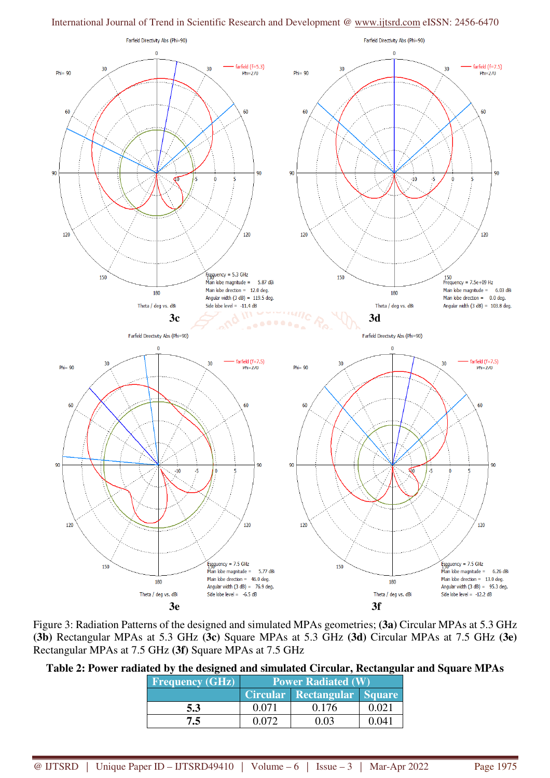

Figure 3: Radiation Patterns of the designed and simulated MPAs geometries; **(3a)** Circular MPAs at 5.3 GHz **(3b)** Rectangular MPAs at 5.3 GHz **(3c)** Square MPAs at 5.3 GHz **(3d)** Circular MPAs at 7.5 GHz **(3e)** Rectangular MPAs at 7.5 GHz **(3f)** Square MPAs at 7.5 GHz

| Table 2: Power radiated by the designed and simulated Circular, Rectangular and Square MPAs |  |  |  |  |  |  |
|---------------------------------------------------------------------------------------------|--|--|--|--|--|--|
|---------------------------------------------------------------------------------------------|--|--|--|--|--|--|

| <b>Frequency (GHz)</b> | <b>Power Radiated (W)</b> |                             |       |  |  |  |
|------------------------|---------------------------|-----------------------------|-------|--|--|--|
|                        |                           | Circular Rectangular Square |       |  |  |  |
| 5.3                    | 0.071                     | 0.176                       | በ በ21 |  |  |  |
| 7.5                    |                           |                             |       |  |  |  |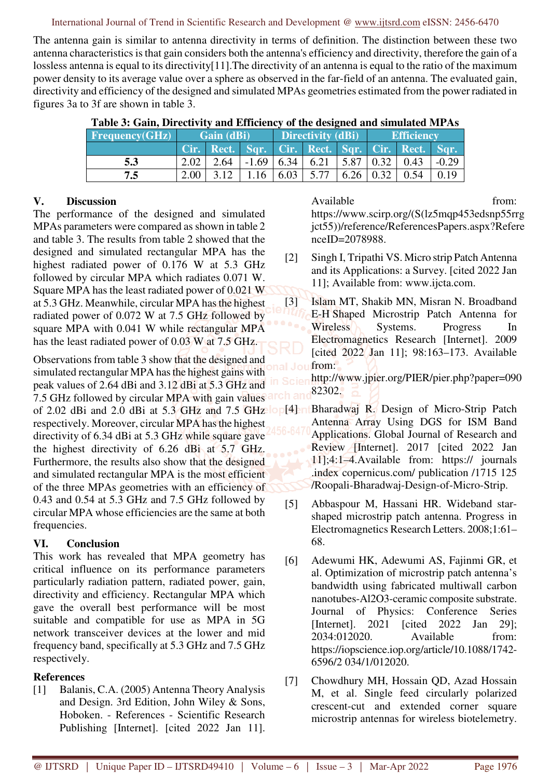The antenna gain is similar to antenna directivity in terms of definition. The distinction between these two antenna characteristics is that gain considers both the antenna's efficiency and directivity, therefore the gain of a lossless antenna is equal to its directivity[11]. The directivity of an antenna is equal to the ratio of the maximum power density to its average value over a sphere as observed in the far-field of an antenna. The evaluated gain, directivity and efficiency of the designed and simulated MPAs geometries estimated from the power radiated in figures 3a to 3f are shown in table 3.

| Table 5: Gaill, Difectivity and Emiclency of the designed and simulated MFAS |            |      |             |                          |                                            |                       |                   |                                                 |         |
|------------------------------------------------------------------------------|------------|------|-------------|--------------------------|--------------------------------------------|-----------------------|-------------------|-------------------------------------------------|---------|
| Frequencies(GHz)                                                             | Gain (dBi) |      |             | <b>Directivity (dBi)</b> |                                            |                       | <b>Efficiency</b> |                                                 |         |
|                                                                              |            |      |             |                          |                                            |                       |                   | Cir. Rect. Sqr. Cir. Rect. Sqr. Cir. Rect. Sqr. |         |
| 5.3                                                                          | 2.02       | 2.64 |             |                          | $-1.69$   6.34   6.21   5.87   0.32   0.43 |                       |                   |                                                 | $-0.29$ |
| 7.5                                                                          | 2.00       | 3.12 | $1.16$ 6.03 |                          | 5.77                                       | $6.26 \mid 0.32 \mid$ |                   | 0.54                                            | 0.19    |

**Table 3: Gain, Directivity and Efficiency of the designed and simulated MPAs** 

### **V. Discussion**

The performance of the designed and simulated MPAs parameters were compared as shown in table 2 and table 3. The results from table 2 showed that the designed and simulated rectangular MPA has the highest radiated power of 0.176 W at 5.3 GHz followed by circular MPA which radiates 0.071 W. Square MPA has the least radiated power of 0.021 W at 5.3 GHz. Meanwhile, circular MPA has the highest radiated power of 0.072 W at 7.5 GHz followed by square MPA with 0.041 W while rectangular MPA has the least radiated power of 0.03 W at 7.5 GHz.

Observations from table 3 show that the designed and simulated rectangular MPA has the highest gains with peak values of 2.64 dBi and 3.12 dBi at 5.3 GHz and 7.5 GHz followed by circular MPA with gain values of 2.02 dBi and 2.0 dBi at 5.3 GHz and 7.5 GHz lop[4] ntBharadwaj R. Design of Micro-Strip Patch respectively. Moreover, circular MPA has the highest directivity of 6.34 dBi at 5.3 GHz while square gave the highest directivity of 6.26 dBi at 5.7 GHz. Furthermore, the results also show that the designed and simulated rectangular MPA is the most efficient of the three MPAs geometries with an efficiency of 0.43 and 0.54 at 5.3 GHz and 7.5 GHz followed by circular MPA whose efficiencies are the same at both frequencies.

## **VI. Conclusion**

This work has revealed that MPA geometry has critical influence on its performance parameters particularly radiation pattern, radiated power, gain, directivity and efficiency. Rectangular MPA which gave the overall best performance will be most suitable and compatible for use as MPA in 5G network transceiver devices at the lower and mid frequency band, specifically at 5.3 GHz and 7.5 GHz respectively.

## **References**

[1] Balanis, C.A. (2005) Antenna Theory Analysis and Design. 3rd Edition, John Wiley & Sons, Hoboken. - References - Scientific Research Publishing [Internet]. [cited 2022 Jan 11].

Available from: https://www.scirp.org/(S(lz5mqp453edsnp55rrg jct55))/reference/ReferencesPapers.aspx?Refere nceID=2078988.

- [2] Singh I, Tripathi VS. Micro strip Patch Antenna and its Applications: a Survey. [cited 2022 Jan 11]; Available from: www.ijcta.com.
- [3] Islam MT, Shakib MN, Misran N. Broadband E-H Shaped Microstrip Patch Antenna for Wireless Systems. Progress In Electromagnetics Research [Internet]. 2009 [cited 2022 Jan 11]; 98:163–173. Available from:

http://www.jpier.org/PIER/pier.php?paper=090 82302.

- Antenna Array Using DGS for ISM Band Applications. Global Journal of Research and Review [Internet]. 2017 [cited 2022 Jan 11];4:1–4.Available from: https:// journals .index copernicus.com/ publication /1715 125 /Roopali-Bharadwaj-Design-of-Micro-Strip.
- [5] Abbaspour M, Hassani HR. Wideband starshaped microstrip patch antenna. Progress in Electromagnetics Research Letters. 2008;1:61– 68.
- [6] Adewumi HK, Adewumi AS, Fajinmi GR, et al. Optimization of microstrip patch antenna's bandwidth using fabricated multiwall carbon nanotubes-Al2O3-ceramic composite substrate. Journal of Physics: Conference Series [Internet]. 2021 [cited 2022 Jan 29]; 2034:012020. Available from: https://iopscience.iop.org/article/10.1088/1742- 6596/2 034/1/012020.
- [7] Chowdhury MH, Hossain QD, Azad Hossain M, et al. Single feed circularly polarized crescent-cut and extended corner square microstrip antennas for wireless biotelemetry.